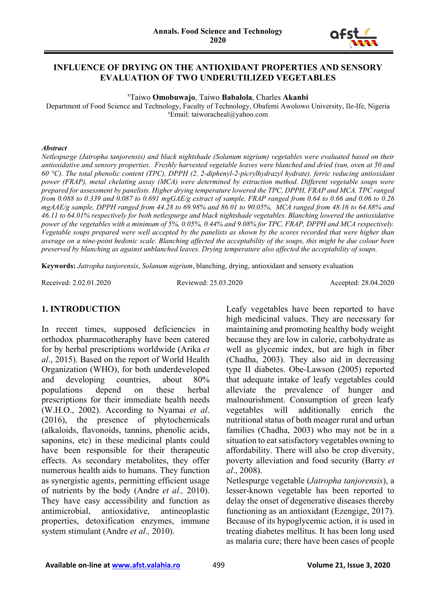

#### **INFLUENCE OF DRYING ON THE ANTIOXIDANT PROPERTIES AND SENSORY EVALUATION OF TWO UNDERUTILIZED VEGETABLES**

x Taiwo **Omobuwajo**, Taiwo **Babalola**, Charles **Akanbi**

Department of Food Science and Technology, Faculty of Technology, Obafemi Awolowo University, Ile-Ife, Nigeria x Email: taiworacheal@yahoo.com

#### *Abstract*

*Netlespurge (Jatropha tanjorensis) and black nightshade (Solanum nigrium) vegetables were evaluated based on their antioxidative and sensory properties. Freshly harvested vegetable leaves were blanched and dried (sun, oven at 50 and 60 °C). The total phenolic content (TPC), DPPH (2, 2-diphenyl-2-picrylhydrazyl hydrate), ferric reducing antioxidant power (FRAP), metal chelating assay (MCA) were determined by extraction method. Different vegetable soups were prepared for assessment by panelists. Higher drying temperature lowered the TPC, DPPH, FRAP and MCA. TPC ranged from 0.088 to 0.339 and 0.087 to 0.691 mgGAE/g extract of sample, FRAP ranged from 0.64 to 0.66 and 0.06 to 0.26 mgAAE/g sample, DPPH ranged from 44.28 to 69.98% and 86.01 to 90.05%, MCA ranged from 48.16 to 64.88% and 46.11 to 64.01% respectively for both netlespurge and black nightshade vegetables. Blanching lowered the antioxidative power of the vegetables with a minimum of 5%, 0.05%, 0.44% and 9.08% for TPC, FRAP, DPPH and MCA respectively. Vegetable soups prepared were well accepted by the panelists as shown by the scores recorded that were higher than average on a nine-point hedonic scale. Blanching affected the acceptability of the soups, this might be due colour been preserved by blanching as against unblanched leaves. Drying temperature also affected the acceptability of soups.* 

**Keywords:** *Jatropha tanjorensis*, *Solanum nigrium*, blanching, drying, antioxidant and sensory evaluation

Received: 2.02.01.2020 Reviewed: 25.03.2020 Accepted: 28.04.2020

#### **1. INTRODUCTION**

In recent times, supposed deficiencies in orthodox pharmacotheraphy have been catered for by herbal prescriptions worldwide (Arika *et al*., 2015). Based on the report of World Health Organization (WHO), for both underdeveloped and developing countries, about 80% populations depend on these herbal prescriptions for their immediate health needs (W.H.O., 2002). According to Nyamai *et al*. (2016), the presence of phytochemicals (alkaloids, flavonoids, tannins, phenolic acids, saponins, etc) in these medicinal plants could have been responsible for their therapeutic effects. As secondary metabolites, they offer numerous health aids to humans. They function as synergistic agents, permitting efficient usage of nutrients by the body (Andre *et al.,* 2010). They have easy accessibility and function as antimicrobial, antioxidative, antineoplastic properties, detoxification enzymes, immune system stimulant (Andre *et al.,* 2010).

Leafy vegetables have been reported to have high medicinal values. They are necessary for maintaining and promoting healthy body weight because they are low in calorie, carbohydrate as well as glycemic index, but are high in fiber (Chadha, 2003). They also aid in decreasing type II diabetes. Obe-Lawson (2005) reported that adequate intake of leafy vegetables could alleviate the prevalence of hunger and malnourishment. Consumption of green leafy vegetables will additionally enrich the nutritional status of both meager rural and urban families (Chadha, 2003) who may not be in a situation to eat satisfactory vegetables owning to affordability. There will also be crop diversity, poverty alleviation and food security (Barry *et al*., 2008).

Netlespurge vegetable (*Jatropha tanjorensis*), a lesser-known vegetable has been reported to delay the onset of degenerative diseases thereby functioning as an antioxidant (Ezengige, 2017). Because of its hypoglycemic action, it is used in treating diabetes mellitus. It has been long used as malaria cure; there have been cases of people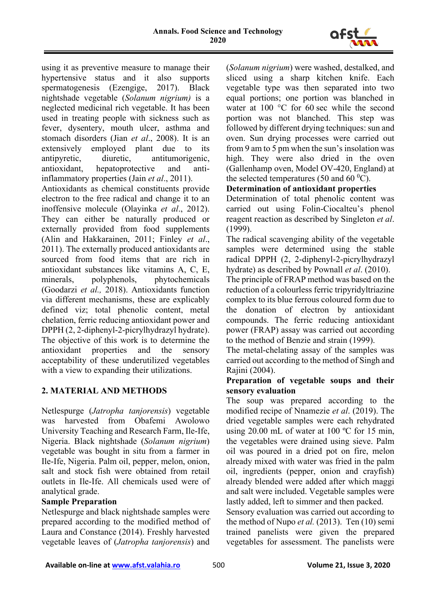

using it as preventive measure to manage their hypertensive status and it also supports spermatogenesis (Ezengige, 2017). Black nightshade vegetable (*Solanum nigrium)* is a neglected medicinal rich vegetable. It has been used in treating people with sickness such as fever, dysentery, mouth ulcer, asthma and stomach disorders (Jian *et al*., 2008). It is an extensively employed plant due to its antipyretic, diuretic, antitumorigenic, antioxidant, hepatoprotective and antiinflammatory properties (Jain *et al*., 2011).

Antioxidants as chemical constituents provide electron to the free radical and change it to an inoffensive molecule (Olayinka *et al*., 2012). They can either be naturally produced or externally provided from food supplements (Alin and Hakkarainen, 2011; Finley *et al*., 2011). The externally produced antioxidants are sourced from food items that are rich in antioxidant substances like vitamins A, C, E minerals, polyphenols, phytochemicals (Goodarzi *et al.,* 2018). Antioxidants function via different mechanisms, these are explicably defined viz; total phenolic content, metal chelation, ferric reducing antioxidant power and DPPH (2, 2-diphenyl-2-picrylhydrazyl hydrate). The objective of this work is to determine the antioxidant properties and the sensory acceptability of these underutilized vegetables with a view to expanding their utilizations.

# **2. MATERIAL AND METHODS**

Netlespurge (*Jatropha tanjorensis*) vegetable was harvested from Obafemi Awolowo University Teaching and Research Farm, Ile-Ife, Nigeria. Black nightshade (*Solanum nigrium*) vegetable was bought in situ from a farmer in Ile-Ife, Nigeria. Palm oil, pepper, melon, onion, salt and stock fish were obtained from retail outlets in Ile-Ife. All chemicals used were of analytical grade.

# **Sample Preparation**

Netlespurge and black nightshade samples were prepared according to the modified method of Laura and Constance (2014). Freshly harvested vegetable leaves of (*Jatropha tanjorensis*) and (*Solanum nigrium*) were washed, destalked, and sliced using a sharp kitchen knife. Each vegetable type was then separated into two equal portions; one portion was blanched in water at 100 °C for 60 sec while the second portion was not blanched. This step was followed by different drying techniques: sun and oven. Sun drying processes were carried out from 9 am to 5 pm when the sun's insolation was high. They were also dried in the oven (Gallenhamp oven, Model OV-420, England) at the selected temperatures (50 and 60 $^0$ C).

# **Determination of antioxidant properties**

Determination of total phenolic content was carried out using Folin-Ciocalteu's phenol reagent reaction as described by Singleton *et al*. (1999).

The radical scavenging ability of the vegetable samples were determined using the stable radical DPPH (2, 2-diphenyl-2-picrylhydrazyl hydrate) as described by Pownall *et al*. (2010).

The principle of FRAP method was based on the reduction of a colourless ferric tripyridyltriazine complex to its blue ferrous coloured form due to the donation of electron by antioxidant compounds. The ferric reducing antioxidant power (FRAP) assay was carried out according to the method of Benzie and strain (1999).

The metal-chelating assay of the samples was carried out according to the method of Singh and Rajini (2004).

# **Preparation of vegetable soups and their sensory evaluation**

The soup was prepared according to the modified recipe of Nnamezie *et al*. (2019). The dried vegetable samples were each rehydrated using 20.00 mL of water at 100 ºC for 15 min, the vegetables were drained using sieve. Palm oil was poured in a dried pot on fire, melon already mixed with water was fried in the palm oil, ingredients (pepper, onion and crayfish) already blended were added after which maggi and salt were included. Vegetable samples were lastly added, left to simmer and then packed.

Sensory evaluation was carried out according to the method of Nupo *et al.* (2013). Ten (10) semi trained panelists were given the prepared vegetables for assessment. The panelists were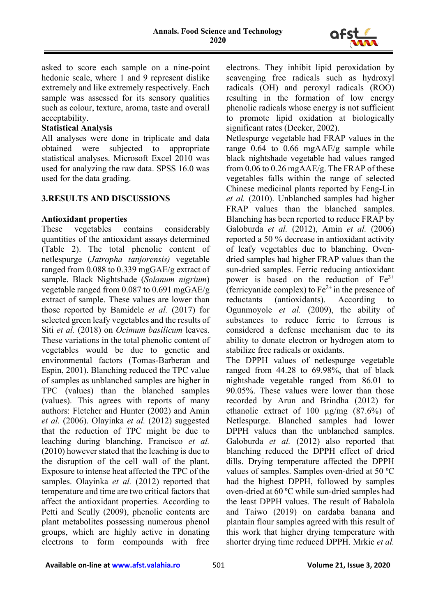

asked to score each sample on a nine-point hedonic scale, where 1 and 9 represent dislike extremely and like extremely respectively. Each sample was assessed for its sensory qualities such as colour, texture, aroma, taste and overall acceptability.

## **Statistical Analysis**

All analyses were done in triplicate and data obtained were subjected to appropriate statistical analyses. Microsoft Excel 2010 was used for analyzing the raw data. SPSS 16.0 was used for the data grading.

## **3.RESULTS AND DISCUSSIONS**

#### **Antioxidant properties**

These vegetables contains considerably quantities of the antioxidant assays determined (Table 2). The total phenolic content of netlespurge (*Jatropha tanjorensis)* vegetable ranged from 0.088 to 0.339 mgGAE/g extract of sample. Black Nightshade (*Solanum nigrium*) vegetable ranged from 0.087 to 0.691 mgGAE/g extract of sample. These values are lower than those reported by Bamidele *et al.* (2017) for selected green leafy vegetables and the results of Siti *et al.* (2018) on *Ocimum basilicum* leaves. These variations in the total phenolic content of vegetables would be due to genetic and environmental factors (Tomas-Barberan and Espin, 2001). Blanching reduced the TPC value of samples as unblanched samples are higher in TPC (values) than the blanched samples (values). This agrees with reports of many authors: Fletcher and Hunter (2002) and Amin *et al.* (2006). Olayinka *et al.* (2012) suggested that the reduction of TPC might be due to leaching during blanching. Francisco *et al.*  (2010) however stated that the leaching is due to the disruption of the cell wall of the plant. Exposure to intense heat affected the TPC of the samples. Olayinka *et al.* (2012) reported that temperature and time are two critical factors that affect the antioxidant properties. According to Petti and Scully (2009), phenolic contents are plant metabolites possessing numerous phenol groups, which are highly active in donating electrons to form compounds with free

electrons. They inhibit lipid peroxidation by scavenging free radicals such as hydroxyl radicals (OH) and peroxyl radicals (ROO) resulting in the formation of low energy phenolic radicals whose energy is not sufficient to promote lipid oxidation at biologically significant rates (Decker, 2002).

Netlespurge vegetable had FRAP values in the range 0.64 to 0.66 mgAAE/g sample while black nightshade vegetable had values ranged from 0.06 to 0.26 mgAAE/g. The FRAP of these vegetables falls within the range of selected Chinese medicinal plants reported by Feng-Lin *et al.* (2010). Unblanched samples had higher FRAP values than the blanched samples. Blanching has been reported to reduce FRAP by Galoburda *et al.* (2012), Amin *et al.* (2006) reported a 50 % decrease in antioxidant activity of leafy vegetables due to blanching. Ovendried samples had higher FRAP values than the sun-dried samples. Ferric reducing antioxidant power is based on the reduction of  $Fe<sup>3+</sup>$ (ferricyanide complex) to  $Fe^{2+}$  in the presence of reductants (antioxidants). According to Ogunmoyole *et al.* (2009), the ability of substances to reduce ferric to ferrous is considered a defense mechanism due to its ability to donate electron or hydrogen atom to stabilize free radicals or oxidants.

The DPPH values of netlespurge vegetable ranged from 44.28 to 69.98%, that of black nightshade vegetable ranged from 86.01 to 90.05%. These values were lower than those recorded by Arun and Brindha (2012) for ethanolic extract of 100 µg/mg (87.6%) of Netlespurge. Blanched samples had lower DPPH values than the unblanched samples. Galoburda *et al.* (2012) also reported that blanching reduced the DPPH effect of dried dills. Drying temperature affected the DPPH values of samples. Samples oven-dried at 50 ºC had the highest DPPH, followed by samples oven-dried at 60 ºC while sun-dried samples had the least DPPH values. The result of Babalola and Taiwo (2019) on cardaba banana and plantain flour samples agreed with this result of this work that higher drying temperature with shorter drying time reduced DPPH. Mrkic *et al.*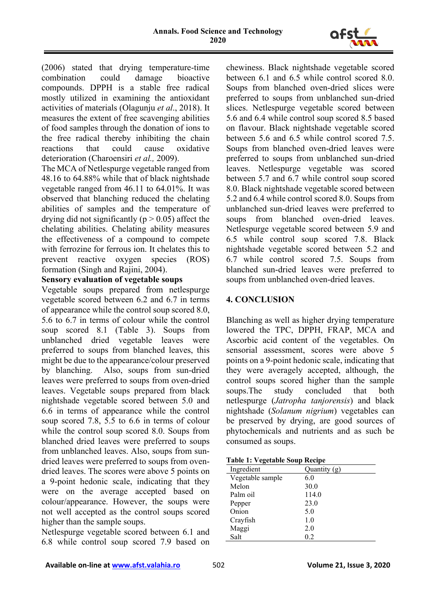

(2006) stated that drying temperature-time combination could damage bioactive compounds. DPPH is a stable free radical mostly utilized in examining the antioxidant activities of materials (Olagunju *et al*., 2018). It measures the extent of free scavenging abilities of food samples through the donation of ions to the free radical thereby inhibiting the chain reactions that could cause oxidative deterioration (Charoensiri *et al.,* 2009).

The MCA of Netlespurge vegetable ranged from 48.16 to 64.88% while that of black nightshade vegetable ranged from 46.11 to 64.01%. It was observed that blanching reduced the chelating abilities of samples and the temperature of drying did not significantly ( $p > 0.05$ ) affect the chelating abilities. Chelating ability measures the effectiveness of a compound to compete with ferrozine for ferrous ion. It chelates this to prevent reactive oxygen species (ROS) formation (Singh and Rajini, 2004).

## **Sensory evaluation of vegetable soups**

Vegetable soups prepared from netlespurge vegetable scored between 6.2 and 6.7 in terms of appearance while the control soup scored 8.0, 5.6 to 6.7 in terms of colour while the control soup scored 8.1 (Table 3). Soups from unblanched dried vegetable leaves were preferred to soups from blanched leaves, this might be due to the appearance/colour preserved by blanching. Also, soups from sun-dried leaves were preferred to soups from oven-dried leaves. Vegetable soups prepared from black nightshade vegetable scored between 5.0 and 6.6 in terms of appearance while the control soup scored 7.8, 5.5 to 6.6 in terms of colour while the control soup scored 8.0. Soups from blanched dried leaves were preferred to soups from unblanched leaves. Also, soups from sundried leaves were preferred to soups from ovendried leaves. The scores were above 5 points on a 9-point hedonic scale, indicating that they were on the average accepted based on colour/appearance. However, the soups were not well accepted as the control soups scored higher than the sample soups.

Netlespurge vegetable scored between 6.1 and 6.8 while control soup scored 7.9 based on chewiness. Black nightshade vegetable scored between 6.1 and 6.5 while control scored 8.0. Soups from blanched oven-dried slices were preferred to soups from unblanched sun-dried slices. Netlespurge vegetable scored between 5.6 and 6.4 while control soup scored 8.5 based on flavour. Black nightshade vegetable scored between 5.6 and 6.5 while control scored 7.5. Soups from blanched oven-dried leaves were preferred to soups from unblanched sun-dried leaves. Netlespurge vegetable was scored between 5.7 and 6.7 while control soup scored 8.0. Black nightshade vegetable scored between 5.2 and 6.4 while control scored 8.0. Soups from unblanched sun-dried leaves were preferred to soups from blanched oven-dried leaves. Netlespurge vegetable scored between 5.9 and 6.5 while control soup scored 7.8. Black nightshade vegetable scored between 5.2 and 6.7 while control scored 7.5. Soups from blanched sun-dried leaves were preferred to soups from unblanched oven-dried leaves.

## **4. CONCLUSION**

Blanching as well as higher drying temperature lowered the TPC, DPPH, FRAP, MCA and Ascorbic acid content of the vegetables. On sensorial assessment, scores were above 5 points on a 9-point hedonic scale, indicating that they were averagely accepted, although, the control soups scored higher than the sample soups.The study concluded that both netlespurge (*Jatropha tanjorensis*) and black nightshade (*Solanum nigrium*) vegetables can be preserved by drying, are good sources of phytochemicals and nutrients and as such be consumed as soups.

| <b>Table 1: Vegetable Soup Recipe</b> |  |
|---------------------------------------|--|
|---------------------------------------|--|

| . .              |              |
|------------------|--------------|
| Ingredient       | Quantity (g) |
| Vegetable sample | 6.0          |
| Melon            | 30.0         |
| Palm oil         | 114.0        |
| Pepper           | 23.0         |
| Onion            | 5.0          |
| Crayfish         | 1.0          |
| Maggi            | 2.0          |
| Salt             | 0.2          |
|                  |              |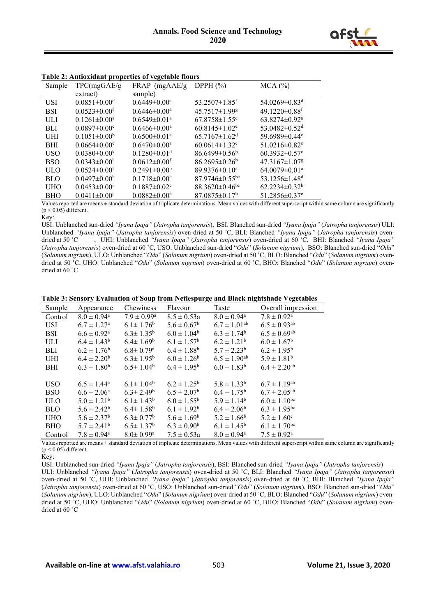

| Table 2. Antioxidant properties or vegetable flours |                                |                                |                                  |                                 |
|-----------------------------------------------------|--------------------------------|--------------------------------|----------------------------------|---------------------------------|
| Sample                                              | TPC(mgGAE/g)                   | $FRAP$ (mgAAE/g                | DPPH $(\%)$                      | MCA (%)                         |
|                                                     | extract)                       | sample)                        |                                  |                                 |
| <b>USI</b>                                          | $0.0851 \pm 0.00$ <sup>d</sup> | $0.6449 \pm 0.00^{\text{a}}$   | $53.2507 \pm 1.85$ <sup>f</sup>  | $54.0269 \pm 0.83$ <sup>d</sup> |
| <b>BSI</b>                                          | $0.0523 \pm 0.00$ <sup>f</sup> | $0.6446\pm0.00^{\circ}$        | 45.7517±1.99g                    | $49.1220 \pm 0.88$ <sup>f</sup> |
| ULI                                                 | $0.1261 \pm 0.00^a$            | $0.6549 \pm 0.01$ <sup>a</sup> | $67.8758 \pm 1.55$ <sup>c</sup>  | $63.8274\pm0.92^{\text{a}}$     |
| <b>BLI</b>                                          | $0.0897 \pm 0.00$ <sup>c</sup> | $0.6466\pm0.00^{\circ}$        | $60.8145 \pm 1.02$ <sup>e</sup>  | 53.0482 $\pm$ 0.52 <sup>d</sup> |
| UHI                                                 | $0.1051 \pm 0.00^b$            | $0.6500 \pm 0.01$ <sup>a</sup> | $65.7167 \pm 1.62$ <sup>d</sup>  | 59.6989 $\pm$ 0.44 $\degree$    |
| <b>BHI</b>                                          | $0.0664\pm0.00^{\circ}$        | $0.6470 \pm 0.00^{\circ}$      | $60.0614 \pm 1.32$ <sup>e</sup>  | 51.0216 $\pm$ 0.82 <sup>e</sup> |
| <b>USO</b>                                          | $0.0380\pm0.00k$               | $0.1280 \pm 0.01$ <sup>d</sup> | $86.6499 \pm 0.56^b$             | $60.3932 \pm 0.57$ °            |
| <b>BSO</b>                                          | $0.0343\pm0.001$               | $0.0612 \pm 0.00$ <sup>f</sup> | $86.2695 \pm 0.26^b$             | $47.3167 \pm 1.07$ <sup>g</sup> |
| <b>ULO</b>                                          | $0.0524 \pm 0.00$ <sup>f</sup> | $0.2491 \pm 0.00^b$            | $89.9376\pm0.10^a$               | $64.0079 \pm 0.01$ <sup>a</sup> |
| <b>BLO</b>                                          | $0.0497 \pm 0.00^{\rm h}$      | $0.1718 \pm 0.00$ <sup>c</sup> | $87.9746\pm0.55$ <sup>bc</sup>   | 53.1256 $\pm$ 1.48 <sup>d</sup> |
| <b>UHO</b>                                          | $0.0453 \pm 0.001$             | $0.1887 \pm 0.02$ <sup>c</sup> | 88.3620 $\pm$ 0.46 <sup>bc</sup> | $62.2234\pm0.32^b$              |
| BHO                                                 | $0.0411 \pm 0.001$             | $0.0882 \pm 0.00$ <sup>e</sup> | $87.0875\pm0.17b$                | 51.2856 $\pm$ 0.37 <sup>e</sup> |

**Table 2: Antioxidant properties of vegetable flours**

Values reported are means ± standard deviation of triplicate determinations. Mean values with different superscript within same column are significantly  $(p < 0.05)$  different.

Key:

USI: Unblanched sun-dried *"Iyana Ipaja"* (*Jatropha tanjorensis*), BSI: Blanched sun-dried *"Iyana Ipaja"* (*Jatropha tanjorensis*) ULI: Unblanched *"Iyana Ipaja"* (*Jatropha tanjorensis*) oven-dried at 50 ˚C, BLI: Blanched *"Iyana Ipaja"* (*Jatropha tanjorensis*) ovendried at 50 ˚C , UHI: Unblanched *"Iyana Ipaja"* (*Jatropha tanjorensis*) oven-dried at 60 ˚C, BHI: Blanched *"Iyana Ipaja"*  (*Jatropha tanjorensis*) oven-dried at 60 ˚C, USO: Unblanched sun-dried "*Odu*" (*Solanum nigrium*), BSO: Blanched sun-dried "*Odu*" (*Solanum nigrium*), ULO: Unblanched "*Odu*" (*Solanum nigrium*) oven-dried at 50 ˚C, BLO: Blanched "*Odu*" (*Solanum nigrium*) ovendried at 50 ˚C, UHO: Unblanched "*Odu*" (*Solanum nigrium*) oven-dried at 60 ˚C, BHO: Blanched "*Odu*" (*Solanum nigrium*) ovendried at 60 ˚C

|  |  |  | Table 3: Sensory Evaluation of Soup from Netlespurge and Black nightshade Vegetables |  |
|--|--|--|--------------------------------------------------------------------------------------|--|
|--|--|--|--------------------------------------------------------------------------------------|--|

| Sample     | Appearance                  | Chewiness                   | Flavour                | Taste                       | Overall impression           |
|------------|-----------------------------|-----------------------------|------------------------|-----------------------------|------------------------------|
| Control    | $8.0 \pm 0.94^{\rm a}$      | $7.9 \pm 0.99^{\rm a}$      | $8.5 \pm 0.53a$        | $8.0 \pm 0.94^{\rm a}$      | $7.8 \pm 0.92^{\rm a}$       |
| <b>USI</b> | $6.7 \pm 1.27$ <sup>a</sup> | $6.1 \pm 1.76^b$            | $5.6 \pm 0.67^b$       | $6.7 \pm 1.01^{ab}$         | $6.5 \pm 0.93^{ab}$          |
| <b>BSI</b> | $6.6 \pm 0.92$ <sup>a</sup> | $6.3 \pm 1.35^{\rm b}$      | $6.0 \pm 1.04^b$       | $6.3 \pm 1.74^b$            | $6.5 \pm 0.69$ <sup>ab</sup> |
| ULI        | $6.4 \pm 1.43^b$            | $6.4 \pm 1.69^b$            | $6.1 \pm 1.57^{\rm b}$ | $6.2 \pm 1.21^b$            | $6.0 \pm 1.67^b$             |
| <b>BLI</b> | $6.2 \pm 1.76^b$            | $6.8 \pm 0.79$ <sup>a</sup> | $6.4 \pm 1.88^b$       | $5.7 \pm 2.23^b$            | $6.2 \pm 1.95^b$             |
| <b>UHI</b> | $6.4 \pm 2.20^b$            | $6.3 \pm 1.95^{\rm b}$      | $6.0 \pm 1.26^b$       | $6.5 \pm 1.90^{ab}$         | $5.9 \pm 1.81^b$             |
| <b>BHI</b> | $6.3 \pm 1.80^b$            | $6.5 \pm 1.04^b$            | $6.4 \pm 1.95^{\rm b}$ | $6.0 \pm 1.83^b$            | $6.4 \pm 2.20^{ab}$          |
|            |                             |                             |                        |                             |                              |
| <b>USO</b> | $6.5 \pm 1.44^a$            | $6.1 \pm 1.04^b$            | $6.2 \pm 1.25^{\rm b}$ | $5.8 \pm 1.33^b$            | $6.7 \pm 1.19^{ab}$          |
| <b>BSO</b> | $6.6 \pm 2.06^{\rm a}$      | $6.3 \pm 2.49^b$            | $6.5 \pm 2.07^{\rm b}$ | $6.4 \pm 1.75^b$            | $6.7 \pm 2.05^{ab}$          |
| <b>ULO</b> | $5.0 \pm 1.21^b$            | $6.1 \pm 1.43^b$            | $6.0 \pm 1.55^{\rm b}$ | $5.9 \pm 1.14^b$            | $6.0 \pm 1.10^{bc}$          |
| BLO        | $5.6 \pm 2.42^b$            | $6.4 \pm 1.58^{\rm b}$      | $6.1 \pm 1.92^b$       | $6.4 \pm 2.06^b$            | $6.3 \pm 1.95^{bc}$          |
| <b>UHO</b> | $5.6 \pm 2.37^b$            | $6.3 \pm 0.77$ <sup>b</sup> | $5.6 \pm 1.69^b$       | $5.2 \pm 1.66^b$            | $5.2 \pm 1.60^{\circ}$       |
| <b>BHO</b> | $5.7 \pm 2.41^b$            | $6.5 \pm 1.37^b$            | $6.3 \pm 0.90^{\rm b}$ | $6.1 \pm 1.45^b$            | $6.1 \pm 1.70$ <sup>bc</sup> |
| Control    | $7.8 \pm 0.94^{\rm a}$      | $8.0 \pm 0.99$ <sup>a</sup> | $7.5 \pm 0.53a$        | $8.0 \pm 0.94$ <sup>a</sup> | $7.5 \pm 0.92^{\text{a}}$    |

Values reported are means ± standard deviation of triplicate determinations. Mean values with different superscript within same column are significantly  $(p < 0.05)$  different.

Key:

USI: Unblanched sun-dried *"Iyana Ipaja"* (*Jatropha tanjorensis*), BSI: Blanched sun-dried *"Iyana Ipaja"* (*Jatropha tanjorensis*) ULI: Unblanched *"Iyana Ipaja"* (*Jatropha tanjorensis*) oven-dried at 50 ˚C, BLI: Blanched *"Iyana Ipaja"* (*Jatropha tanjorensis*) oven-dried at 50 ˚C, UHI: Unblanched *"Iyana Ipaja"* (*Jatropha tanjorensis*) oven-dried at 60 ˚C, BHI: Blanched *"Iyana Ipaja"*  (*Jatropha tanjorensis*) oven-dried at 60 ˚C, USO: Unblanched sun-dried "*Odu*" (*Solanum nigrium*), BSO: Blanched sun-dried "*Odu*" (*Solanum nigrium*), ULO: Unblanched "*Odu*" (*Solanum nigrium*) oven-dried at 50 ˚C, BLO: Blanched "*Odu*" (*Solanum nigrium*) ovendried at 50 ˚C, UHO: Unblanched "*Odu*" (*Solanum nigrium*) oven-dried at 60 ˚C, BHO: Blanched "*Odu*" (*Solanum nigrium*) ovendried at 60 ˚C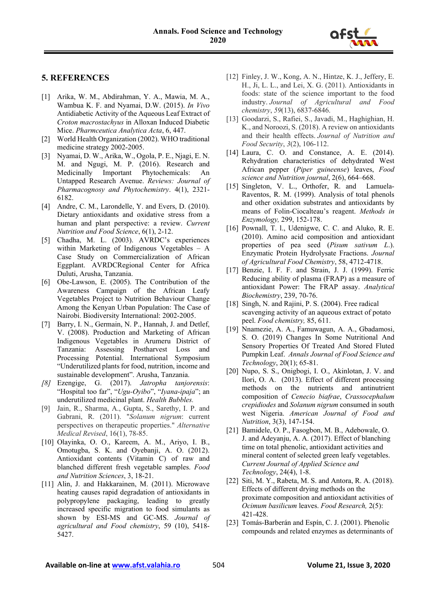

#### **5. REFERENCES**

- [1] Arika, W. M., Abdirahman, Y. A., Mawia, M. A., Wambua K. F. and Nyamai, D.W. (2015). *In Vivo*  Antidiabetic Activity of the Aqueous Leaf Extract of *Croton macrostachyus* in Alloxan Induced Diabetic Mice. *Pharmceutica Analytica Acta*, 6, 447.
- [2] World Health Organization (2002). WHO traditional medicine strategy 2002-2005.
- [3] Nyamai, D. W., Arika, W., Ogola, P. E., Njagi, E. N. M. and Ngugi, M. P. (2016). Research and Medicinally Important Phytochemicals: An Untapped Research Avenue. *Reviews: Journal of Pharmacognosy and Phytochemistry*. 4(1), 2321- 6182.
- [4] Andre, C. M., Larondelle, Y. and Evers, D. (2010). Dietary antioxidants and oxidative stress from a human and plant perspective: a review. *Current Nutrition and Food Science*, 6(1), 2-12.
- [5] Chadha, M. L. (2003). AVRDC's experiences within Marketing of Indigenous Vegetables – A Case Study on Commercialization of African Eggplant. AVRDCRegional Center for Africa Duluti, Arusha, Tanzania.
- [6] Obe-Lawson, E. (2005). The Contribution of the Awareness Campaign of the African Leafy Vegetables Project to Nutrition Behaviour Change Among the Kenyan Urban Population: The Case of Nairobi. Biodiversity International: 2002-2005.
- [7] Barry, I. N., Germain, N. P., Hannah, J. and Detlef, V. (2008). Production and Marketing of African Indigenous Vegetables in Arumeru District of Tanzania: Assessing Postharvest Loss and Processing Potential. International Symposium "Underutilized plants for food, nutrition, income and sustainable development". Arusha, Tanzania.
- *[8]* Ezengige, G. (2017). *Jatropha tanjorensis*: "Hospital too far", "*Ugu-Oyibo*", "*Iyana*-*ipaja*"; an underutilized medicinal plant. *Health Bubbles.*
- [9] Jain, R., Sharma, A., Gupta, S., Sarethy, I. P. and Gabrani, R. (2011). "*Solanum nigrum*: current perspectives on therapeutic properties." *Alternative Medical Revised*, 16(1), 78-85.
- [10] Olayinka, O. O., Kareem, A. M., Ariyo, I. B., Omotugba, S. K. and Oyebanji, A. O. (2012). Antioxidant contents (Vitamin C) of raw and blanched different fresh vegetable samples. *Food and Nutrition Sciences*, 3, 18-21.
- [11] Alin, J. and Hakkarainen, M. (2011). Microwave heating causes rapid degradation of antioxidants in polypropylene packaging, leading to greatly increased specific migration to food simulants as shown by ESI-MS and GC-MS. *Journal of agricultural and Food chemistry*, 59 (10), 5418- 5427.
- [12] Finley, J. W., Kong, A. N., Hintze, K. J., Jeffery, E. H., Ji, L. L., and Lei, X. G. (2011). Antioxidants in foods: state of the science important to the food industry. *Journal of Agricultural and Food chemistry*, *59*(13), 6837-6846.
- [13] Goodarzi, S., Rafiei, S., Javadi, M., Haghighian, H. K., and Noroozi, S. (2018). A review on antioxidants and their health effects. *Journal of Nutrition and Food Security*, *3*(2), 106-112.
- [14] Laura, C. O. and Constance, A. E. (2014). Rehydration characteristics of dehydrated West African pepper (*Piper guineense*) leaves, *Food science and Nutrition journal*, 2(6), 664–668.
- [15] Singleton, V. L., Orthofer, R. and Lamuela-Raventos, R. M. (1999). Analysis of total phenols and other oxidation substrates and antioxidants by means of Folin-Ciocalteau's reagent. *Methods in Enzymology,* 299, 152-178.
- [16] Pownall, T. l., Udenigwe, C. C. and Aluko, R. E. (2010). Amino acid composition and antioxidant properties of pea seed (*Pisum sativum L*.). Enzymatic Protein Hydrolysate Fractions. *Journal of Agricultural Food Chemistry*, 58, 4712-4718.
- [17] Benzie, I. F. F. and Strain, J. J. (1999). Ferric Reducing ability of plasma (FRAP) as a measure of antioxidant Power: The FRAP assay. *Analytical Biochemistry*, 239, 70-76.
- [18] Singh, N. and Rajini, P. S. (2004). Free radical scavenging activity of an aqueous extract of potato peel. *Food chemistry,* 85, 611.
- [19] Nnamezie, A. A., Famuwagun, A. A., Gbadamosi, S. O. (2019) Changes In Some Nutritional And Sensory Properties Of Treated And Stored Fluted Pumpkin Leaf. *Annals Journal of Food Science and Technology*, 20(1); 65-81.
- [20] Nupo, S. S., Onigbogi, I. O., Akinlotan, J. V. and Ilori, O. A. (2013). Effect of different processing methods on the nutrients and antinutrient composition of *Cenecio biafrae*, *Crassocephalum crepidiodes* and *Solanum nigrum* consumed in south west Nigeria. *American Journal of Food and Nutrition*, 3(3), 147-154.
- [21] Bamidele, O. P., Fasogbon, M. B., Adebowale, O. J. and Adeyanju, A. A. (2017). Effect of blanching time on total phenolic, antioxidant activities and mineral content of selected green leafy vegetables. *Current Journal of Applied Science and Technology*, 24(4), 1-8.
- [22] Siti, M. Y., Rabeta, M. S. and Antora, R. A. (2018). Effects of different drying methods on the proximate composition and antioxidant activities of *Ocimum basilicum* leaves. *Food Research,* 2(5): 421-428.
- [23] Tomás-Barberán and Espín, C. J. (2001). Phenolic compounds and related enzymes as determinants of